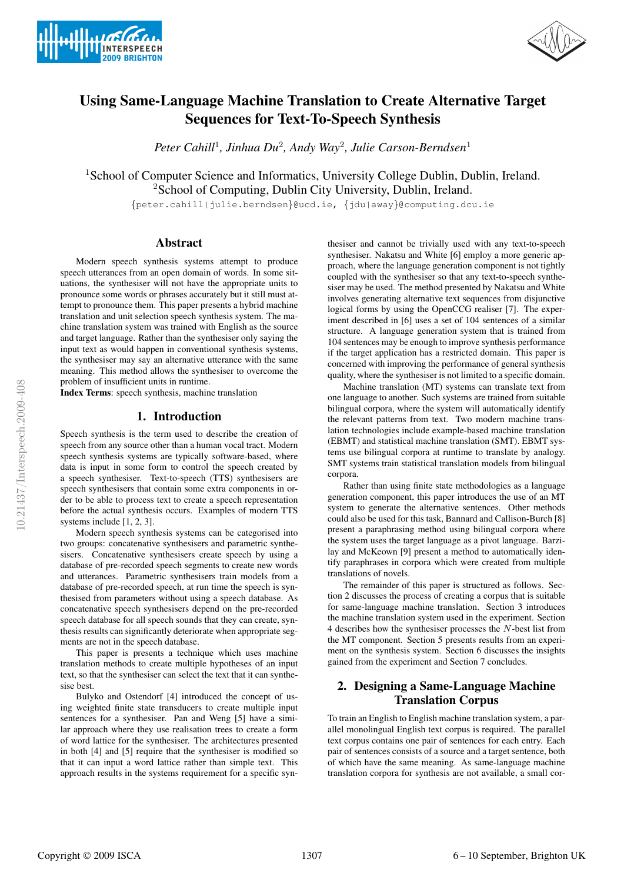



# Using Same-Language Machine Translation to Create Alternative Target Sequences for Text-To-Speech Synthesis

*Peter Cahill*<sup>1</sup>*, Jinhua Du*<sup>2</sup>*, Andy Way*<sup>2</sup>*, Julie Carson-Berndsen*<sup>1</sup>

<sup>1</sup>School of Computer Science and Informatics, University College Dublin, Dublin, Ireland. <sup>2</sup>School of Computing, Dublin City University, Dublin, Ireland.

{peter.cahill|julie.berndsen}@ucd.ie, {jdu|away}@computing.dcu.ie

# Abstract

Modern speech synthesis systems attempt to produce speech utterances from an open domain of words. In some situations, the synthesiser will not have the appropriate units to pronounce some words or phrases accurately but it still must attempt to pronounce them. This paper presents a hybrid machine translation and unit selection speech synthesis system. The machine translation system was trained with English as the source and target language. Rather than the synthesiser only saying the input text as would happen in conventional synthesis systems, the synthesiser may say an alternative utterance with the same meaning. This method allows the synthesiser to overcome the problem of insufficient units in runtime.

Index Terms: speech synthesis, machine translation

### 1. Introduction

Speech synthesis is the term used to describe the creation of speech from any source other than a human vocal tract. Modern speech synthesis systems are typically software-based, where data is input in some form to control the speech created by a speech synthesiser. Text-to-speech (TTS) synthesisers are speech synthesisers that contain some extra components in order to be able to process text to create a speech representation before the actual synthesis occurs. Examples of modern TTS systems include [1, 2, 3].

Modern speech synthesis systems can be categorised into two groups: concatenative synthesisers and parametric synthesisers. Concatenative synthesisers create speech by using a database of pre-recorded speech segments to create new words and utterances. Parametric synthesisers train models from a database of pre-recorded speech, at run time the speech is synthesised from parameters without using a speech database. As concatenative speech synthesisers depend on the pre-recorded speech database for all speech sounds that they can create, synthesis results can significantly deteriorate when appropriate segments are not in the speech database.

This paper is presents a technique which uses machine translation methods to create multiple hypotheses of an input text, so that the synthesiser can select the text that it can synthesise best.

Bulyko and Ostendorf [4] introduced the concept of using weighted finite state transducers to create multiple input sentences for a synthesiser. Pan and Weng [5] have a similar approach where they use realisation trees to create a form of word lattice for the synthesiser. The architectures presented in both [4] and [5] require that the synthesiser is modified so that it can input a word lattice rather than simple text. This approach results in the systems requirement for a specific syn-

thesiser and cannot be trivially used with any text-to-speech synthesiser. Nakatsu and White [6] employ a more generic approach, where the language generation component is not tightly coupled with the synthesiser so that any text-to-speech synthesiser may be used. The method presented by Nakatsu and White involves generating alternative text sequences from disjunctive logical forms by using the OpenCCG realiser [7]. The experiment described in [6] uses a set of 104 sentences of a similar structure. A language generation system that is trained from 104 sentences may be enough to improve synthesis performance if the target application has a restricted domain. This paper is concerned with improving the performance of general synthesis quality, where the synthesiser is not limited to a specific domain.

Machine translation (MT) systems can translate text from one language to another. Such systems are trained from suitable bilingual corpora, where the system will automatically identify the relevant patterns from text. Two modern machine translation technologies include example-based machine translation (EBMT) and statistical machine translation (SMT). EBMT systems use bilingual corpora at runtime to translate by analogy. SMT systems train statistical translation models from bilingual corpora.

Rather than using finite state methodologies as a language generation component, this paper introduces the use of an MT system to generate the alternative sentences. Other methods could also be used for this task, Bannard and Callison-Burch [8] present a paraphrasing method using bilingual corpora where the system uses the target language as a pivot language. Barzilay and McKeown [9] present a method to automatically identify paraphrases in corpora which were created from multiple translations of novels.

The remainder of this paper is structured as follows. Section 2 discusses the process of creating a corpus that is suitable for same-language machine translation. Section 3 introduces the machine translation system used in the experiment. Section 4 describes how the synthesiser processes the N-best list from the MT component. Section 5 presents results from an experiment on the synthesis system. Section 6 discusses the insights gained from the experiment and Section 7 concludes.

# 2. Designing a Same-Language Machine Translation Corpus

To train an English to English machine translation system, a parallel monolingual English text corpus is required. The parallel text corpus contains one pair of sentences for each entry. Each pair of sentences consists of a source and a target sentence, both of which have the same meaning. As same-language machine translation corpora for synthesis are not available, a small cor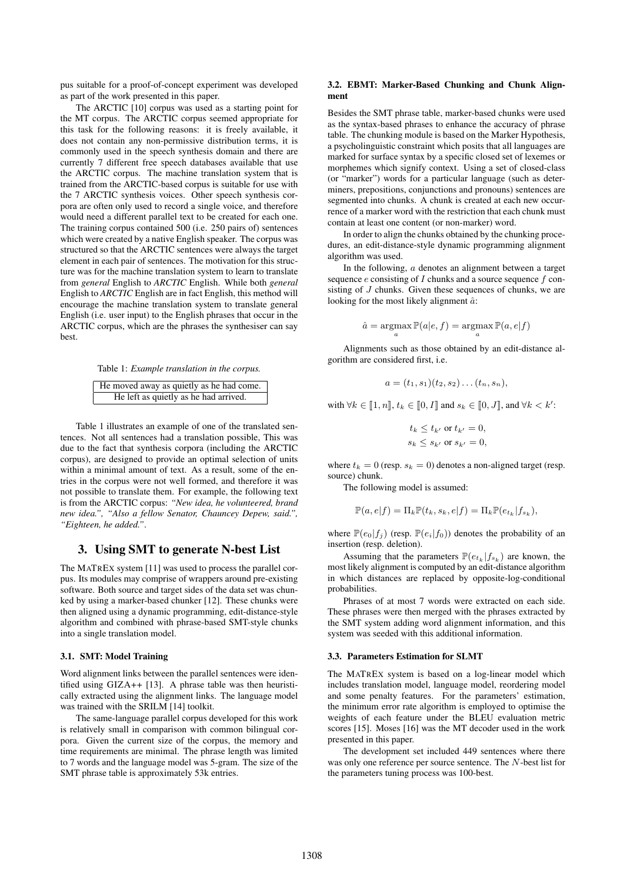pus suitable for a proof-of-concept experiment was developed as part of the work presented in this paper.

The ARCTIC [10] corpus was used as a starting point for the MT corpus. The ARCTIC corpus seemed appropriate for this task for the following reasons: it is freely available, it does not contain any non-permissive distribution terms, it is commonly used in the speech synthesis domain and there are currently 7 different free speech databases available that use the ARCTIC corpus. The machine translation system that is trained from the ARCTIC-based corpus is suitable for use with the 7 ARCTIC synthesis voices. Other speech synthesis corpora are often only used to record a single voice, and therefore would need a different parallel text to be created for each one. The training corpus contained 500 (i.e. 250 pairs of) sentences which were created by a native English speaker. The corpus was structured so that the ARCTIC sentences were always the target element in each pair of sentences. The motivation for this structure was for the machine translation system to learn to translate from *general* English to *ARCTIC* English. While both *general* English to *ARCTIC* English are in fact English, this method will encourage the machine translation system to translate general English (i.e. user input) to the English phrases that occur in the ARCTIC corpus, which are the phrases the synthesiser can say best.

Table 1: *Example translation in the corpus.*

| He moved away as quietly as he had come. |
|------------------------------------------|
| He left as quietly as he had arrived.    |

Table 1 illustrates an example of one of the translated sentences. Not all sentences had a translation possible, This was due to the fact that synthesis corpora (including the ARCTIC corpus), are designed to provide an optimal selection of units within a minimal amount of text. As a result, some of the entries in the corpus were not well formed, and therefore it was not possible to translate them. For example, the following text is from the ARCTIC corpus: *"New idea, he volunteered, brand new idea.", "Also a fellow Senator, Chauncey Depew, said.", "Eighteen, he added."*.

# 3. Using SMT to generate N-best List

The MATREX system [11] was used to process the parallel corpus. Its modules may comprise of wrappers around pre-existing software. Both source and target sides of the data set was chunked by using a marker-based chunker [12]. These chunks were then aligned using a dynamic programming, edit-distance-style algorithm and combined with phrase-based SMT-style chunks into a single translation model.

#### 3.1. SMT: Model Training

Word alignment links between the parallel sentences were identified using GIZA++ [13]. A phrase table was then heuristically extracted using the alignment links. The language model was trained with the SRILM [14] toolkit.

The same-language parallel corpus developed for this work is relatively small in comparison with common bilingual corpora. Given the current size of the corpus, the memory and time requirements are minimal. The phrase length was limited to 7 words and the language model was 5-gram. The size of the SMT phrase table is approximately 53k entries.

#### 3.2. EBMT: Marker-Based Chunking and Chunk Alignment

Besides the SMT phrase table, marker-based chunks were used as the syntax-based phrases to enhance the accuracy of phrase table. The chunking module is based on the Marker Hypothesis, a psycholinguistic constraint which posits that all languages are marked for surface syntax by a specific closed set of lexemes or morphemes which signify context. Using a set of closed-class (or "marker") words for a particular language (such as determiners, prepositions, conjunctions and pronouns) sentences are segmented into chunks. A chunk is created at each new occurrence of a marker word with the restriction that each chunk must contain at least one content (or non-marker) word.

In order to align the chunks obtained by the chunking procedures, an edit-distance-style dynamic programming alignment algorithm was used.

In the following,  $\alpha$  denotes an alignment between a target sequence  $e$  consisting of  $I$  chunks and a source sequence  $f$  consisting of J chunks. Given these sequences of chunks, we are looking for the most likely alignment  $\hat{a}$ :

$$
\hat{a} = \operatorname*{argmax}_{a} \mathbb{P}(a|e, f) = \operatorname*{argmax}_{a} \mathbb{P}(a, e|f)
$$

Alignments such as those obtained by an edit-distance algorithm are considered first, i.e.

$$
a = (t_1, s_1)(t_2, s_2) \dots (t_n, s_n),
$$

with  $\forall k \in [\![1, n]\!], t_k \in [\![0, I]\!]$  and  $s_k \in [\![0, J]\!]$ , and  $\forall k \leq k'$ :

 $t_k \leq t_{k'}$  or  $t_{k'} = 0$ ,  $s_k \leq s_{k'}$  or  $s_{k'} = 0$ ,

where  $t_k = 0$  (resp.  $s_k = 0$ ) denotes a non-aligned target (resp. source) chunk.

The following model is assumed:

$$
\mathbb{P}(a,e|f) = \Pi_k \mathbb{P}(t_k,s_k,e|f) = \Pi_k \mathbb{P}(e_{t_k}|f_{s_k}),
$$

where  $\mathbb{P}(e_0|f_i)$  (resp.  $\mathbb{P}(e_i|f_0)$ ) denotes the probability of an insertion (resp. deletion).

Assuming that the parameters  $\mathbb{P}(e_{t_k} | f_{s_k})$  are known, the most likely alignment is computed by an edit-distance algorithm in which distances are replaced by opposite-log-conditional probabilities.

Phrases of at most 7 words were extracted on each side. These phrases were then merged with the phrases extracted by the SMT system adding word alignment information, and this system was seeded with this additional information.

#### 3.3. Parameters Estimation for SLMT

The MATREX system is based on a log-linear model which includes translation model, language model, reordering model and some penalty features. For the parameters' estimation, the minimum error rate algorithm is employed to optimise the weights of each feature under the BLEU evaluation metric scores [15]. Moses [16] was the MT decoder used in the work presented in this paper.

The development set included 449 sentences where there was only one reference per source sentence. The N-best list for the parameters tuning process was 100-best.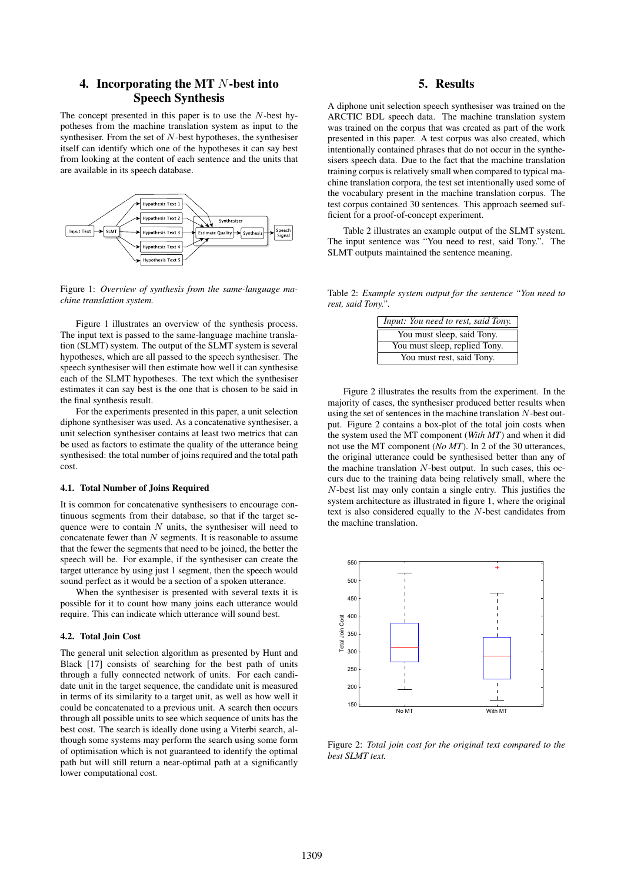# 4. Incorporating the MT N-best into Speech Synthesis

The concept presented in this paper is to use the  $N$ -best hypotheses from the machine translation system as input to the synthesiser. From the set of  $N$ -best hypotheses, the synthesiser itself can identify which one of the hypotheses it can say best from looking at the content of each sentence and the units that are available in its speech database.



Figure 1: *Overview of synthesis from the same-language machine translation system.*

Figure 1 illustrates an overview of the synthesis process. The input text is passed to the same-language machine translation (SLMT) system. The output of the SLMT system is several hypotheses, which are all passed to the speech synthesiser. The speech synthesiser will then estimate how well it can synthesise each of the SLMT hypotheses. The text which the synthesiser estimates it can say best is the one that is chosen to be said in the final synthesis result.

For the experiments presented in this paper, a unit selection diphone synthesiser was used. As a concatenative synthesiser, a unit selection synthesiser contains at least two metrics that can be used as factors to estimate the quality of the utterance being synthesised: the total number of joins required and the total path cost.

### 4.1. Total Number of Joins Required

It is common for concatenative synthesisers to encourage continuous segments from their database, so that if the target sequence were to contain  $N$  units, the synthesiser will need to concatenate fewer than  $N$  segments. It is reasonable to assume that the fewer the segments that need to be joined, the better the speech will be. For example, if the synthesiser can create the target utterance by using just 1 segment, then the speech would sound perfect as it would be a section of a spoken utterance.

When the synthesiser is presented with several texts it is possible for it to count how many joins each utterance would require. This can indicate which utterance will sound best.

#### 4.2. Total Join Cost

The general unit selection algorithm as presented by Hunt and Black [17] consists of searching for the best path of units through a fully connected network of units. For each candidate unit in the target sequence, the candidate unit is measured in terms of its similarity to a target unit, as well as how well it could be concatenated to a previous unit. A search then occurs through all possible units to see which sequence of units has the best cost. The search is ideally done using a Viterbi search, although some systems may perform the search using some form of optimisation which is not guaranteed to identify the optimal path but will still return a near-optimal path at a significantly lower computational cost.

# 5. Results

A diphone unit selection speech synthesiser was trained on the ARCTIC BDL speech data. The machine translation system was trained on the corpus that was created as part of the work presented in this paper. A test corpus was also created, which intentionally contained phrases that do not occur in the synthesisers speech data. Due to the fact that the machine translation training corpus is relatively small when compared to typical machine translation corpora, the test set intentionally used some of the vocabulary present in the machine translation corpus. The test corpus contained 30 sentences. This approach seemed sufficient for a proof-of-concept experiment.

Table 2 illustrates an example output of the SLMT system. The input sentence was "You need to rest, said Tony.". The SLMT outputs maintained the sentence meaning.

Table 2: *Example system output for the sentence "You need to rest, said Tony.".*

| Input: You need to rest, said Tony. |
|-------------------------------------|
| You must sleep, said Tony.          |
| You must sleep, replied Tony.       |
| You must rest, said Tony.           |

Figure 2 illustrates the results from the experiment. In the majority of cases, the synthesiser produced better results when using the set of sentences in the machine translation N-best output. Figure 2 contains a box-plot of the total join costs when the system used the MT component (*With MT*) and when it did not use the MT component (*No MT*). In 2 of the 30 utterances, the original utterance could be synthesised better than any of the machine translation  $N$ -best output. In such cases, this occurs due to the training data being relatively small, where the N-best list may only contain a single entry. This justifies the system architecture as illustrated in figure 1, where the original text is also considered equally to the N-best candidates from the machine translation.



Figure 2: *Total join cost for the original text compared to the best SLMT text.*